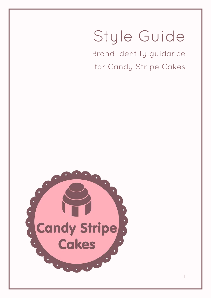# Style Guide

Brand identity guidance for Candy Stripe Cakes

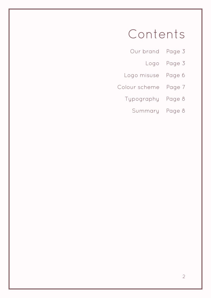### Contents

- Our brand Page 3
	- Logo Page 3
- Logo misuse Page 6
- Colour scheme Page 7
	- Typography Page 8
		- Summary Page 8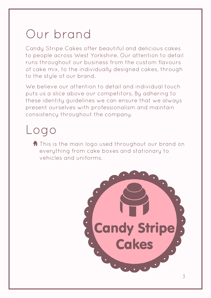### Our brand

Candy Stripe Cakes offer beautiful and delicious cakes to people across West Yorkshire. Our attention to detail runs throughout our business from the custom flavours of cake mix, to the individually designed cakes, through to the style of our brand.

We believe our attention to detail and individual touch puts us a slice above our competitors. By adhering to these identity guidelines we can ensure that we always present ourselves with professionalism and maintain consistency throughout the company.

## Logo

**A** This is the main logo used throughout our brand on everything from cake boxes and stationary to vehicles and uniforms.

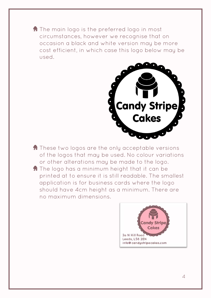**A** The main logo is the preferred logo in most circumstances, however we recognise that on occasion a black and white version may be more cost efficient, in which case this logo below may be used.



**A** These two logos are the only acceptable versions of the logos that may be used. No colour variations or other alterations may be made to the logo. **A** The logo has a minimum height that it can be printed at to ensure it is still readable. The smallest application is for business cards where the logo should have 4cm height as a minimum. There are no maximum dimensions.

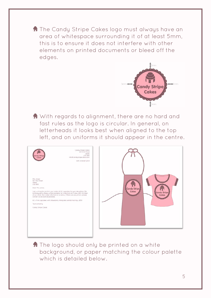**A** The Candy Stripe Cakes logo must always have an area of whitespace surrounding it of at least 5mm, this is to ensure it does not interfere with other elements on printed documents or bleed off the edges.



**A** With regards to alignment, there are no hard and fast rules as the logo is circular. In general, on letterheads it looks best when aligned to the top left, and on uniforms it should appear in the centre.





**A** The logo should only be printed on a white background, or paper matching the colour palette which is detailed below.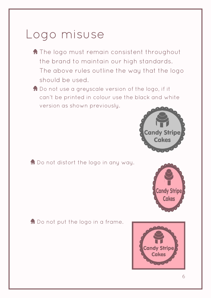#### Logo misuse

- **A** The logo must remain consistent throughout the brand to maintain our high standards. The above rules outline the way that the logo should be used.
- Do not use a greyscale version of the logo, if it can't be printed in colour use the black and white version as shown previously.



**A** Do not distort the logo in any way.



**A** Do not put the logo in a frame.

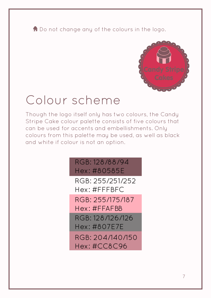**A** Do not change any of the colours in the logo.



### Colour scheme

Though the logo itself only has two colours, the Candy Stripe Cake colour palette consists of five colours that can be used for accents and embellishments. Only colours from this palette may be used, as well as black and white if colour is not an option.

| RGB: 128/88/94<br>Hex: #80585F   |
|----------------------------------|
| RGB: 255/251/252<br>Hex:#FFFBFC  |
| RGB: 255/175/187<br>Hex:#FFAFBB  |
| RGB: 128/126/126<br>Hex: #807E7E |
| RGB: 204/140/150<br>Hex:#CC8C96  |